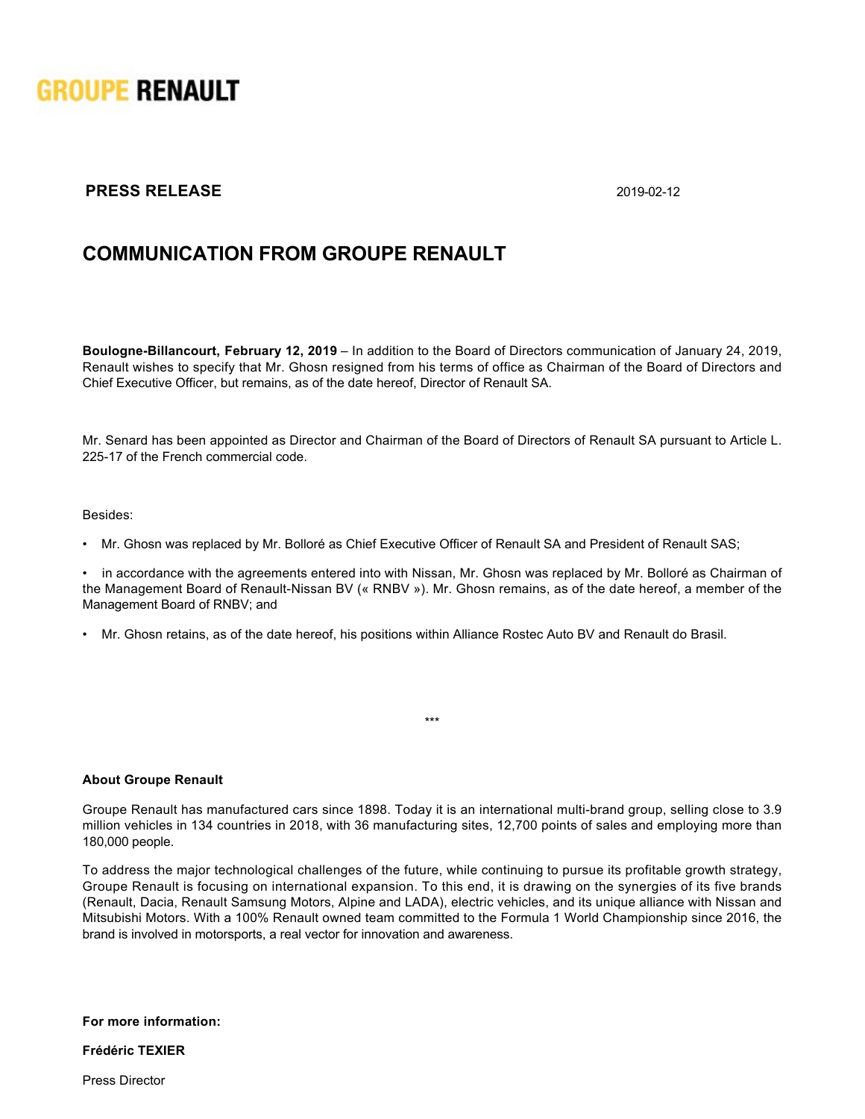

## **PRESS RELEASE** 2019-02-12

## **COMMUNICATION FROM GROUPE RENAULT**

**Boulogne-Billancourt, February 12, 2019** – In addition to the Board of Directors communication of January 24, 2019, Renault wishes to specify that Mr. Ghosn resigned from his terms of office as Chairman of the Board of Directors and Chief Executive Officer, but remains, as of the date hereof, Director of Renault SA.

Mr. Senard has been appointed as Director and Chairman of the Board of Directors of Renault SA pursuant to Article L. 225-17 of the French commercial code.

## Besides:

• Mr. Ghosn was replaced by Mr. Bolloré as Chief Executive Officer of Renault SA and President of Renault SAS;

in accordance with the agreements entered into with Nissan, Mr. Ghosn was replaced by Mr. Bolloré as Chairman of the Management Board of Renault-Nissan BV (« RNBV »). Mr. Ghosn remains, as of the date hereof, a member of the Management Board of RNBV; and

• Mr. Ghosn retains, as of the date hereof, his positions within Alliance Rostec Auto BV and Renault do Brasil.

## **About Groupe Renault**

Groupe Renault has manufactured cars since 1898. Today it is an international multi-brand group, selling close to 3.9 million vehicles in 134 countries in 2018, with 36 manufacturing sites, 12,700 points of sales and employing more than 180,000 people.

\*\*\*

To address the major technological challenges of the future, while continuing to pursue its profitable growth strategy, Groupe Renault is focusing on international expansion. To this end, it is drawing on the synergies of its five brands (Renault, Dacia, Renault Samsung Motors, Alpine and LADA), electric vehicles, and its unique alliance with Nissan and Mitsubishi Motors. With a 100% Renault owned team committed to the Formula 1 World Championship since 2016, the brand is involved in motorsports, a real vector for innovation and awareness.

**For more information:**

**Frédéric TEXIER**

Press Director